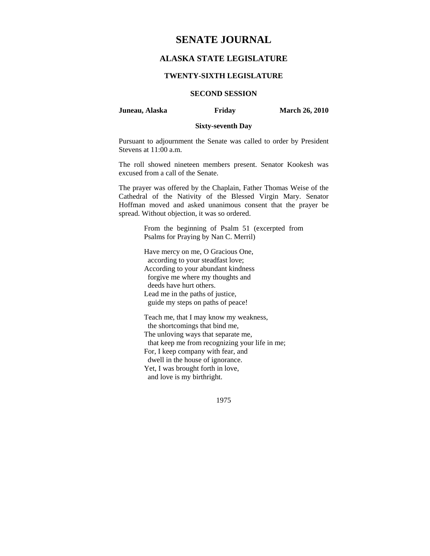# **SENATE JOURNAL**

# **ALASKA STATE LEGISLATURE**

#### **TWENTY-SIXTH LEGISLATURE**

## **SECOND SESSION**

**Juneau, Alaska Friday March 26, 2010** 

#### **Sixty-seventh Day**

Pursuant to adjournment the Senate was called to order by President Stevens at 11:00 a.m.

The roll showed nineteen members present. Senator Kookesh was excused from a call of the Senate.

The prayer was offered by the Chaplain, Father Thomas Weise of the Cathedral of the Nativity of the Blessed Virgin Mary. Senator Hoffman moved and asked unanimous consent that the prayer be spread. Without objection, it was so ordered.

> From the beginning of Psalm 51 (excerpted from Psalms for Praying by Nan C. Merril)

Have mercy on me, O Gracious One, according to your steadfast love; According to your abundant kindness forgive me where my thoughts and deeds have hurt others. Lead me in the paths of justice, guide my steps on paths of peace!

Teach me, that I may know my weakness, the shortcomings that bind me, The unloving ways that separate me, that keep me from recognizing your life in me; For, I keep company with fear, and dwell in the house of ignorance. Yet, I was brought forth in love, and love is my birthright.

1975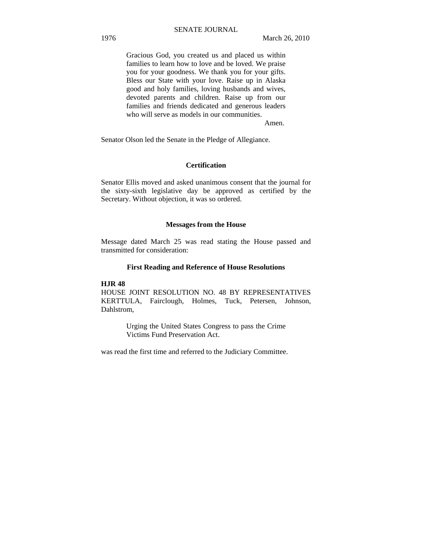Gracious God, you created us and placed us within families to learn how to love and be loved. We praise you for your goodness. We thank you for your gifts. Bless our State with your love. Raise up in Alaska good and holy families, loving husbands and wives, devoted parents and children. Raise up from our families and friends dedicated and generous leaders who will serve as models in our communities.

Amen.

Senator Olson led the Senate in the Pledge of Allegiance.

#### **Certification**

Senator Ellis moved and asked unanimous consent that the journal for the sixty-sixth legislative day be approved as certified by the Secretary. Without objection, it was so ordered.

#### **Messages from the House**

Message dated March 25 was read stating the House passed and transmitted for consideration:

#### **First Reading and Reference of House Resolutions**

#### **HJR 48**

HOUSE JOINT RESOLUTION NO. 48 BY REPRESENTATIVES KERTTULA, Fairclough, Holmes, Tuck, Petersen, Johnson, Dahlstrom,

> Urging the United States Congress to pass the Crime Victims Fund Preservation Act.

was read the first time and referred to the Judiciary Committee.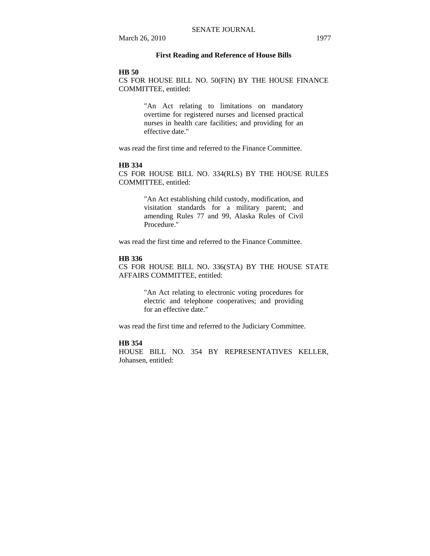### **First Reading and Reference of House Bills**

#### **HB 50**

CS FOR HOUSE BILL NO. 50(FIN) BY THE HOUSE FINANCE COMMITTEE, entitled:

> "An Act relating to limitations on mandatory overtime for registered nurses and licensed practical nurses in health care facilities; and providing for an effective date."

was read the first time and referred to the Finance Committee.

#### **HB 334**

CS FOR HOUSE BILL NO. 334(RLS) BY THE HOUSE RULES COMMITTEE, entitled:

> "An Act establishing child custody, modification, and visitation standards for a military parent; and amending Rules 77 and 99, Alaska Rules of Civil Procedure."

was read the first time and referred to the Finance Committee.

#### **HB 336**

CS FOR HOUSE BILL NO. 336(STA) BY THE HOUSE STATE AFFAIRS COMMITTEE, entitled:

> "An Act relating to electronic voting procedures for electric and telephone cooperatives; and providing for an effective date."

was read the first time and referred to the Judiciary Committee.

### **HB 354**

HOUSE BILL NO. 354 BY REPRESENTATIVES KELLER, Johansen, entitled: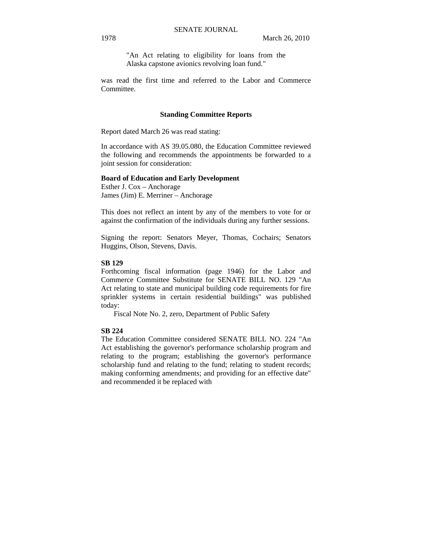"An Act relating to eligibility for loans from the Alaska capstone avionics revolving loan fund."

was read the first time and referred to the Labor and Commerce Committee.

#### **Standing Committee Reports**

Report dated March 26 was read stating:

In accordance with AS 39.05.080, the Education Committee reviewed the following and recommends the appointments be forwarded to a joint session for consideration:

#### **Board of Education and Early Development**

Esther J. Cox – Anchorage James (Jim) E. Merriner – Anchorage

This does not reflect an intent by any of the members to vote for or against the confirmation of the individuals during any further sessions.

Signing the report: Senators Meyer, Thomas, Cochairs; Senators Huggins, Olson, Stevens, Davis.

#### **SB 129**

Forthcoming fiscal information (page 1946) for the Labor and Commerce Committee Substitute for SENATE BILL NO. 129 "An Act relating to state and municipal building code requirements for fire sprinkler systems in certain residential buildings" was published today:

Fiscal Note No. 2, zero, Department of Public Safety

#### **SB 224**

The Education Committee considered SENATE BILL NO. 224 "An Act establishing the governor's performance scholarship program and relating to the program; establishing the governor's performance scholarship fund and relating to the fund; relating to student records; making conforming amendments; and providing for an effective date" and recommended it be replaced with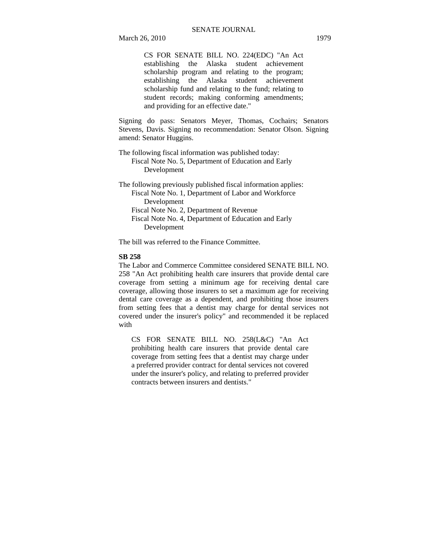CS FOR SENATE BILL NO. 224(EDC) "An Act establishing the Alaska student achievement scholarship program and relating to the program; establishing the Alaska student achievement scholarship fund and relating to the fund; relating to student records; making conforming amendments; and providing for an effective date."

Signing do pass: Senators Meyer, Thomas, Cochairs; Senators Stevens, Davis. Signing no recommendation: Senator Olson. Signing amend: Senator Huggins.

The following fiscal information was published today: Fiscal Note No. 5, Department of Education and Early Development

The following previously published fiscal information applies: Fiscal Note No. 1, Department of Labor and Workforce Development Fiscal Note No. 2, Department of Revenue Fiscal Note No. 4, Department of Education and Early Development

The bill was referred to the Finance Committee.

#### **SB 258**

The Labor and Commerce Committee considered SENATE BILL NO. 258 "An Act prohibiting health care insurers that provide dental care coverage from setting a minimum age for receiving dental care coverage, allowing those insurers to set a maximum age for receiving dental care coverage as a dependent, and prohibiting those insurers from setting fees that a dentist may charge for dental services not covered under the insurer's policy" and recommended it be replaced with

CS FOR SENATE BILL NO. 258(L&C) "An Act prohibiting health care insurers that provide dental care coverage from setting fees that a dentist may charge under a preferred provider contract for dental services not covered under the insurer's policy, and relating to preferred provider contracts between insurers and dentists."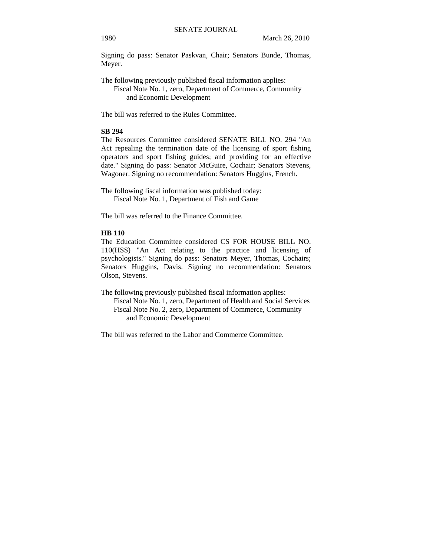Signing do pass: Senator Paskvan, Chair; Senators Bunde, Thomas, Meyer.

The following previously published fiscal information applies: Fiscal Note No. 1, zero, Department of Commerce, Community and Economic Development

The bill was referred to the Rules Committee.

# **SB 294**

The Resources Committee considered SENATE BILL NO. 294 "An Act repealing the termination date of the licensing of sport fishing operators and sport fishing guides; and providing for an effective date." Signing do pass: Senator McGuire, Cochair; Senators Stevens, Wagoner. Signing no recommendation: Senators Huggins, French.

The following fiscal information was published today: Fiscal Note No. 1, Department of Fish and Game

The bill was referred to the Finance Committee.

# **HB 110**

The Education Committee considered CS FOR HOUSE BILL NO. 110(HSS) "An Act relating to the practice and licensing of psychologists." Signing do pass: Senators Meyer, Thomas, Cochairs; Senators Huggins, Davis. Signing no recommendation: Senators Olson, Stevens.

The following previously published fiscal information applies:

Fiscal Note No. 1, zero, Department of Health and Social Services Fiscal Note No. 2, zero, Department of Commerce, Community and Economic Development

The bill was referred to the Labor and Commerce Committee.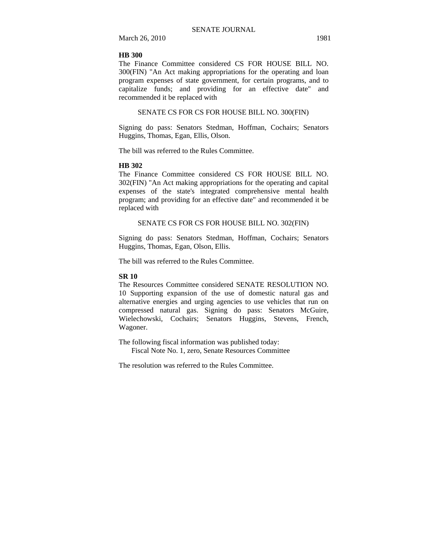March 26, 2010 1981

#### **HB 300**

The Finance Committee considered CS FOR HOUSE BILL NO. 300(FIN) "An Act making appropriations for the operating and loan program expenses of state government, for certain programs, and to capitalize funds; and providing for an effective date" and recommended it be replaced with

# SENATE CS FOR CS FOR HOUSE BILL NO. 300(FIN)

Signing do pass: Senators Stedman, Hoffman, Cochairs; Senators Huggins, Thomas, Egan, Ellis, Olson.

The bill was referred to the Rules Committee.

#### **HB 302**

The Finance Committee considered CS FOR HOUSE BILL NO. 302(FIN) "An Act making appropriations for the operating and capital expenses of the state's integrated comprehensive mental health program; and providing for an effective date" and recommended it be replaced with

#### SENATE CS FOR CS FOR HOUSE BILL NO. 302(FIN)

Signing do pass: Senators Stedman, Hoffman, Cochairs; Senators Huggins, Thomas, Egan, Olson, Ellis.

The bill was referred to the Rules Committee.

#### **SR 10**

The Resources Committee considered SENATE RESOLUTION NO. 10 Supporting expansion of the use of domestic natural gas and alternative energies and urging agencies to use vehicles that run on compressed natural gas. Signing do pass: Senators McGuire, Wielechowski, Cochairs; Senators Huggins, Stevens, French, Wagoner.

The following fiscal information was published today: Fiscal Note No. 1, zero, Senate Resources Committee

The resolution was referred to the Rules Committee.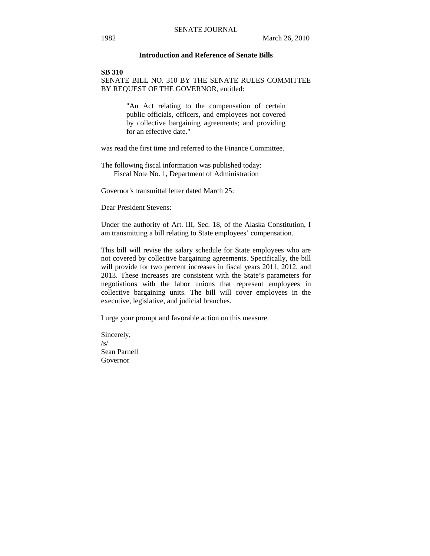### **Introduction and Reference of Senate Bills**

#### **SB 310**

SENATE BILL NO. 310 BY THE SENATE RULES COMMITTEE BY REQUEST OF THE GOVERNOR, entitled:

> "An Act relating to the compensation of certain public officials, officers, and employees not covered by collective bargaining agreements; and providing for an effective date."

was read the first time and referred to the Finance Committee.

The following fiscal information was published today: Fiscal Note No. 1, Department of Administration

Governor's transmittal letter dated March 25:

Dear President Stevens:

Under the authority of Art. III, Sec. 18, of the Alaska Constitution, I am transmitting a bill relating to State employees' compensation.

This bill will revise the salary schedule for State employees who are not covered by collective bargaining agreements. Specifically, the bill will provide for two percent increases in fiscal years 2011, 2012, and 2013. These increases are consistent with the State's parameters for negotiations with the labor unions that represent employees in collective bargaining units. The bill will cover employees in the executive, legislative, and judicial branches.

I urge your prompt and favorable action on this measure.

Sincerely, /s/ Sean Parnell Governor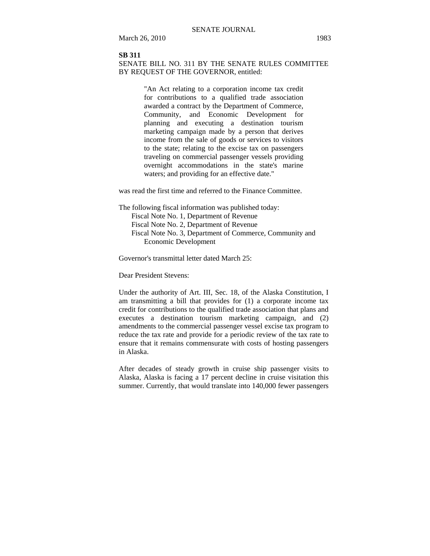#### **SB 311**

### SENATE BILL NO. 311 BY THE SENATE RULES COMMITTEE BY REQUEST OF THE GOVERNOR, entitled:

"An Act relating to a corporation income tax credit for contributions to a qualified trade association awarded a contract by the Department of Commerce, Community, and Economic Development for planning and executing a destination tourism marketing campaign made by a person that derives income from the sale of goods or services to visitors to the state; relating to the excise tax on passengers traveling on commercial passenger vessels providing overnight accommodations in the state's marine waters; and providing for an effective date."

was read the first time and referred to the Finance Committee.

The following fiscal information was published today: Fiscal Note No. 1, Department of Revenue Fiscal Note No. 2, Department of Revenue Fiscal Note No. 3, Department of Commerce, Community and Economic Development

Governor's transmittal letter dated March 25:

Dear President Stevens:

Under the authority of Art. III, Sec. 18, of the Alaska Constitution, I am transmitting a bill that provides for (1) a corporate income tax credit for contributions to the qualified trade association that plans and executes a destination tourism marketing campaign, and (2) amendments to the commercial passenger vessel excise tax program to reduce the tax rate and provide for a periodic review of the tax rate to ensure that it remains commensurate with costs of hosting passengers in Alaska.

After decades of steady growth in cruise ship passenger visits to Alaska, Alaska is facing a 17 percent decline in cruise visitation this summer. Currently, that would translate into 140,000 fewer passengers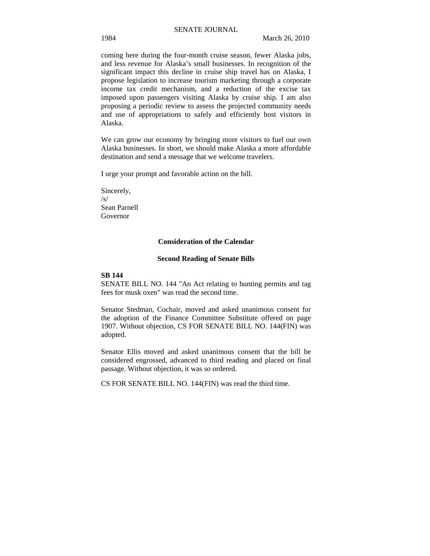coming here during the four-month cruise season, fewer Alaska jobs, and less revenue for Alaska's small businesses. In recognition of the significant impact this decline in cruise ship travel has on Alaska, I propose legislation to increase tourism marketing through a corporate income tax credit mechanism, and a reduction of the excise tax imposed upon passengers visiting Alaska by cruise ship. I am also proposing a periodic review to assess the projected community needs and use of appropriations to safely and efficiently host visitors in Alaska.

We can grow our economy by bringing more visitors to fuel our own Alaska businesses. In short, we should make Alaska a more affordable destination and send a message that we welcome travelers.

I urge your prompt and favorable action on the bill.

Sincerely,  $\sqrt{s}$ Sean Parnell Governor

#### **Consideration of the Calendar**

#### **Second Reading of Senate Bills**

### **SB 144**

SENATE BILL NO. 144 "An Act relating to hunting permits and tag fees for musk oxen" was read the second time.

Senator Stedman, Cochair, moved and asked unanimous consent for the adoption of the Finance Committee Substitute offered on page 1907. Without objection, CS FOR SENATE BILL NO. 144(FIN) was adopted.

Senator Ellis moved and asked unanimous consent that the bill be considered engrossed, advanced to third reading and placed on final passage. Without objection, it was so ordered.

CS FOR SENATE BILL NO. 144(FIN) was read the third time.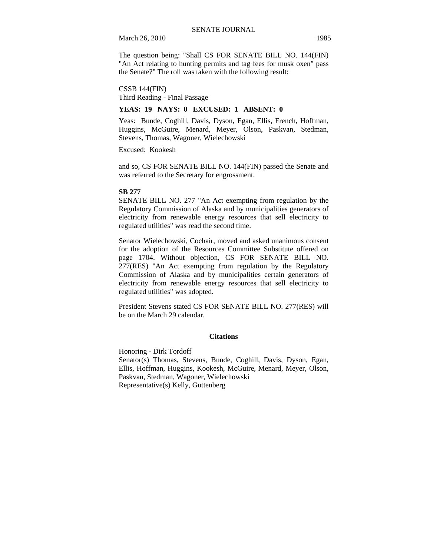March 26, 2010 1985

The question being: "Shall CS FOR SENATE BILL NO. 144(FIN) "An Act relating to hunting permits and tag fees for musk oxen" pass the Senate?" The roll was taken with the following result:

CSSB 144(FIN) Third Reading - Final Passage

#### **YEAS: 19 NAYS: 0 EXCUSED: 1 ABSENT: 0**

Yeas: Bunde, Coghill, Davis, Dyson, Egan, Ellis, French, Hoffman, Huggins, McGuire, Menard, Meyer, Olson, Paskvan, Stedman, Stevens, Thomas, Wagoner, Wielechowski

Excused: Kookesh

and so, CS FOR SENATE BILL NO. 144(FIN) passed the Senate and was referred to the Secretary for engrossment.

#### **SB 277**

SENATE BILL NO. 277 "An Act exempting from regulation by the Regulatory Commission of Alaska and by municipalities generators of electricity from renewable energy resources that sell electricity to regulated utilities" was read the second time.

Senator Wielechowski, Cochair, moved and asked unanimous consent for the adoption of the Resources Committee Substitute offered on page 1704. Without objection, CS FOR SENATE BILL NO. 277(RES) "An Act exempting from regulation by the Regulatory Commission of Alaska and by municipalities certain generators of electricity from renewable energy resources that sell electricity to regulated utilities" was adopted.

President Stevens stated CS FOR SENATE BILL NO. 277(RES) will be on the March 29 calendar.

#### **Citations**

Honoring - Dirk Tordoff Senator(s) Thomas, Stevens, Bunde, Coghill, Davis, Dyson, Egan, Ellis, Hoffman, Huggins, Kookesh, McGuire, Menard, Meyer, Olson, Paskvan, Stedman, Wagoner, Wielechowski Representative(s) Kelly, Guttenberg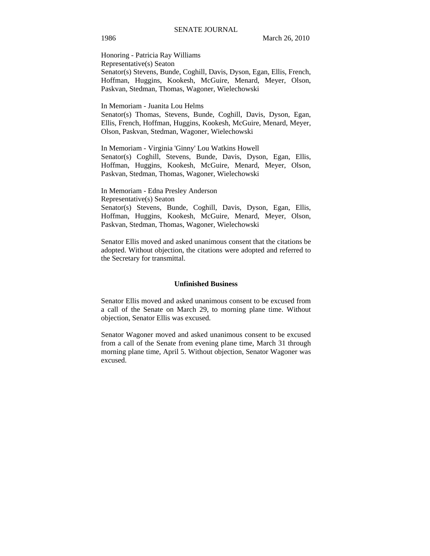Honoring - Patricia Ray Williams Representative(s) Seaton Senator(s) Stevens, Bunde, Coghill, Davis, Dyson, Egan, Ellis, French, Hoffman, Huggins, Kookesh, McGuire, Menard, Meyer, Olson, Paskvan, Stedman, Thomas, Wagoner, Wielechowski

In Memoriam - Juanita Lou Helms

Senator(s) Thomas, Stevens, Bunde, Coghill, Davis, Dyson, Egan, Ellis, French, Hoffman, Huggins, Kookesh, McGuire, Menard, Meyer, Olson, Paskvan, Stedman, Wagoner, Wielechowski

In Memoriam - Virginia 'Ginny' Lou Watkins Howell Senator(s) Coghill, Stevens, Bunde, Davis, Dyson, Egan, Ellis, Hoffman, Huggins, Kookesh, McGuire, Menard, Meyer, Olson, Paskvan, Stedman, Thomas, Wagoner, Wielechowski

In Memoriam - Edna Presley Anderson Representative(s) Seaton Senator(s) Stevens, Bunde, Coghill, Davis, Dyson, Egan, Ellis, Hoffman, Huggins, Kookesh, McGuire, Menard, Meyer, Olson, Paskvan, Stedman, Thomas, Wagoner, Wielechowski

Senator Ellis moved and asked unanimous consent that the citations be adopted. Without objection, the citations were adopted and referred to the Secretary for transmittal.

#### **Unfinished Business**

Senator Ellis moved and asked unanimous consent to be excused from a call of the Senate on March 29, to morning plane time. Without objection, Senator Ellis was excused.

Senator Wagoner moved and asked unanimous consent to be excused from a call of the Senate from evening plane time, March 31 through morning plane time, April 5. Without objection, Senator Wagoner was excused.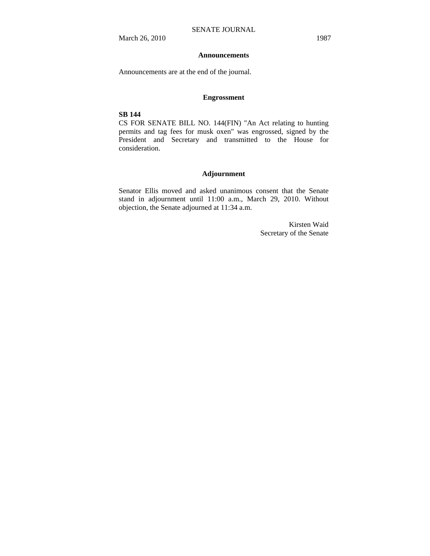#### **Announcements**

Announcements are at the end of the journal.

#### **Engrossment**

### **SB 144**

CS FOR SENATE BILL NO. 144(FIN) "An Act relating to hunting permits and tag fees for musk oxen" was engrossed, signed by the President and Secretary and transmitted to the House for consideration.

### **Adjournment**

Senator Ellis moved and asked unanimous consent that the Senate stand in adjournment until 11:00 a.m., March 29, 2010. Without objection, the Senate adjourned at 11:34 a.m.

> Kirsten Waid Secretary of the Senate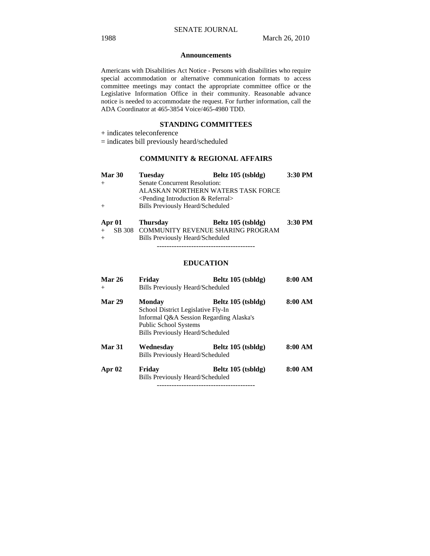#### **Announcements**

Americans with Disabilities Act Notice - Persons with disabilities who require special accommodation or alternative communication formats to access committee meetings may contact the appropriate committee office or the Legislative Information Office in their community. Reasonable advance notice is needed to accommodate the request. For further information, call the ADA Coordinator at 465-3854 Voice/465-4980 TDD.

#### **STANDING COMMITTEES**

+ indicates teleconference

= indicates bill previously heard/scheduled

# **COMMUNITY & REGIONAL AFFAIRS**

| <b>Mar 30</b> | <b>Tuesday</b>                             | Beltz 105 (tsbldg)                 | 3:30 PM |
|---------------|--------------------------------------------|------------------------------------|---------|
|               | Senate Concurrent Resolution:              |                                    |         |
|               |                                            | ALASKAN NORTHERN WATERS TASK FORCE |         |
|               | $\leq$ Pending Introduction & Referral $>$ |                                    |         |
|               | <b>Bills Previously Heard/Scheduled</b>    |                                    |         |
| Apr 01        | <b>Thursday</b>                            | Beltz 105 (tsbldg)                 | 3:30 PM |

|     | Apr UI inursuay | Dellz 105 (ispidg)                         | .3:30 FI |
|-----|-----------------|--------------------------------------------|----------|
|     |                 | + SB 308 COMMUNITY REVENUE SHARING PROGRAM |          |
| $+$ |                 | Bills Previously Heard/Scheduled           |          |
|     |                 |                                            |          |

# **EDUCATION**

| <b>Mar 26</b> | Fridav                                  | Beltz 105 (tsbldg)                      | 8:00 AM |
|---------------|-----------------------------------------|-----------------------------------------|---------|
| $^{+}$        | <b>Bills Previously Heard/Scheduled</b> |                                         |         |
| Mar 29        | Monday                                  | Beltz 105 (tsbldg)                      | 8:00 AM |
|               | School District Legislative Fly-In      |                                         |         |
|               |                                         | Informal O&A Session Regarding Alaska's |         |
|               | <b>Public School Systems</b>            |                                         |         |
|               | Bills Previously Heard/Scheduled        |                                         |         |
| <b>Mar 31</b> | Wednesday                               | Beltz 105 (tsbldg)                      | 8:00 AM |
|               | Bills Previously Heard/Scheduled        |                                         |         |
| Apr $02$      | Friday                                  | Beltz 105 (tsbldg)                      | 8:00 AM |
|               | <b>Bills Previously Heard/Scheduled</b> |                                         |         |
|               |                                         |                                         |         |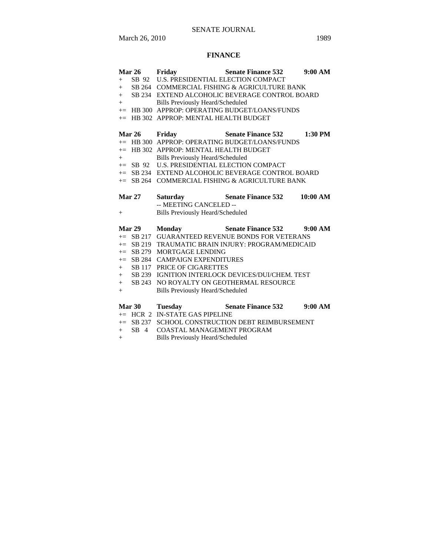# SENATE JOURNAL

March 26, 2010 1989

# **FINANCE**

|               | Mar 26 Friday                               | <b>Senate Finance 532</b>                                                     | 9:00 AM   |
|---------------|---------------------------------------------|-------------------------------------------------------------------------------|-----------|
|               | + SB 92 U.S. PRESIDENTIAL ELECTION COMPACT  |                                                                               |           |
|               |                                             | + SB 264 COMMERCIAL FISHING & AGRICULTURE BANK                                |           |
|               |                                             | + SB 234 EXTEND ALCOHOLIC BEVERAGE CONTROL BOARD                              |           |
| $+$ $-$       | <b>Bills Previously Heard/Scheduled</b>     |                                                                               |           |
|               |                                             | += HB 300 APPROP: OPERATING BUDGET/LOANS/FUNDS                                |           |
| $+=$          | HB 302 APPROP: MENTAL HEALTH BUDGET         |                                                                               |           |
|               |                                             |                                                                               |           |
| Mar 26 Friday |                                             | <b>Senate Finance 532</b>                                                     | $1:30$ PM |
|               |                                             | += HB 300 APPROP: OPERATING BUDGET/LOANS/FUNDS                                |           |
|               | $+=$ HB 302 APPROP: MENTAL HEALTH BUDGET    |                                                                               |           |
| $+$ $-$       | <b>Bills Previously Heard/Scheduled</b>     |                                                                               |           |
|               | += SB 92 U.S. PRESIDENTIAL ELECTION COMPACT |                                                                               |           |
|               |                                             | += SB 234 EXTEND ALCOHOLIC BEVERAGE CONTROL BOARD                             |           |
|               |                                             | $+=$ SB 264 COMMERCIAL FISHING & AGRICULTURE BANK                             |           |
|               |                                             |                                                                               |           |
| <b>Mar 27</b> |                                             | Saturday Senate Finance 532                                                   | 10:00 AM  |
|               | -- MEETING CANCELED --                      |                                                                               |           |
| $+$           | <b>Bills Previously Heard/Scheduled</b>     |                                                                               |           |
| Mar 29        |                                             |                                                                               |           |
|               | <b>Monday</b>                               | Senate Finance 532 9:00 AM<br>+= SB 217 GUARANTEED REVENUE BONDS FOR VETERANS |           |
|               |                                             | += SB 219 TRAUMATIC BRAIN INJURY: PROGRAM/MEDICAID                            |           |
|               | $+=$ SB 279 MORTGAGE LENDING                |                                                                               |           |
|               | += SB 284 CAMPAIGN EXPENDITURES             |                                                                               |           |
|               | + SB 117 PRICE OF CIGARETTES                |                                                                               |           |
|               |                                             | + SB 239 IGNITION INTERLOCK DEVICES/DUI/CHEM. TEST                            |           |
| $+$           |                                             | SB 243 NO ROYALTY ON GEOTHERMAL RESOURCE                                      |           |
| $+$           | Bills Previously Heard/Scheduled            |                                                                               |           |

| <b>Mar 30</b> | Tuesday | <b>Senate Finance 532</b> | 9:00 AM |
|---------------|---------|---------------------------|---------|

- += HCR 2 IN-STATE GAS PIPELINE
- += SB 237 SCHOOL CONSTRUCTION DEBT REIMBURSEMENT
- + SB 4 COASTAL MANAGEMENT PROGRAM
- + Bills Previously Heard/Scheduled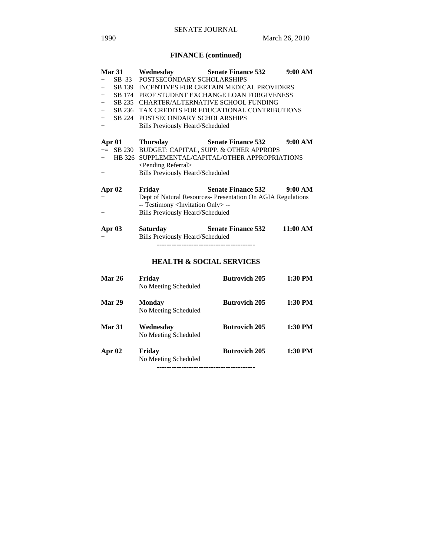# **FINANCE (continued)**

|        | Mar 31        | Wednesday                                         | <b>Senate Finance 532</b>                                   | 9:00 AM  |  |  |
|--------|---------------|---------------------------------------------------|-------------------------------------------------------------|----------|--|--|
| $^{+}$ | SB 33         | POSTSECONDARY SCHOLARSHIPS                        |                                                             |          |  |  |
| $^{+}$ | SB 139        |                                                   | INCENTIVES FOR CERTAIN MEDICAL PROVIDERS                    |          |  |  |
| $^{+}$ |               |                                                   | SB 174 PROF STUDENT EXCHANGE LOAN FORGIVENESS               |          |  |  |
| $+$    | SB 235        | <b>CHARTER/ALTERNATIVE SCHOOL FUNDING</b>         |                                                             |          |  |  |
| $+$    | SB 236        |                                                   | TAX CREDITS FOR EDUCATIONAL CONTRIBUTIONS                   |          |  |  |
| $+$    | SB 224        | POSTSECONDARY SCHOLARSHIPS                        |                                                             |          |  |  |
| $+$    |               | <b>Bills Previously Heard/Scheduled</b>           |                                                             |          |  |  |
| Apr 01 |               | <b>Thursday</b>                                   | <b>Senate Finance 532</b>                                   | 9:00 AM  |  |  |
|        |               |                                                   | += SB 230 BUDGET: CAPITAL, SUPP. & OTHER APPROPS            |          |  |  |
| $^{+}$ |               |                                                   | HB 326 SUPPLEMENTAL/CAPITAL/OTHER APPROPRIATIONS            |          |  |  |
|        |               | <pending referral=""></pending>                   |                                                             |          |  |  |
| $^{+}$ |               | <b>Bills Previously Heard/Scheduled</b>           |                                                             |          |  |  |
| Apr 02 |               | Friday                                            | <b>Senate Finance 532</b>                                   | 9:00 AM  |  |  |
| $^+$   |               |                                                   | Dept of Natural Resources- Presentation On AGIA Regulations |          |  |  |
|        |               | -- Testimony <invitation only=""> --</invitation> |                                                             |          |  |  |
| $^{+}$ |               | <b>Bills Previously Heard/Scheduled</b>           |                                                             |          |  |  |
| Apr 03 |               | <b>Saturday</b>                                   | <b>Senate Finance 532</b>                                   | 11:00 AM |  |  |
| $+$    |               | <b>Bills Previously Heard/Scheduled</b>           |                                                             |          |  |  |
|        |               |                                                   |                                                             |          |  |  |
|        |               |                                                   | <b>HEALTH &amp; SOCIAL SERVICES</b>                         |          |  |  |
|        | Mar 26        | Friday                                            | <b>Butrovich 205</b>                                        | 1:30 PM  |  |  |
|        |               | No Meeting Scheduled                              |                                                             |          |  |  |
|        | Mar 29        | <b>Monday</b>                                     | <b>Butrovich 205</b>                                        | 1:30 PM  |  |  |
|        |               | No Meeting Scheduled                              |                                                             |          |  |  |
|        | <b>Mar 31</b> | Wednesday                                         | <b>Butrovich 205</b>                                        | 1:30 PM  |  |  |
|        |               | No Meeting Scheduled                              |                                                             |          |  |  |
| Apr 02 |               | Friday                                            | <b>Butrovich 205</b>                                        | 1:30 PM  |  |  |
|        |               | No Meeting Scheduled                              |                                                             |          |  |  |

----------------------------------------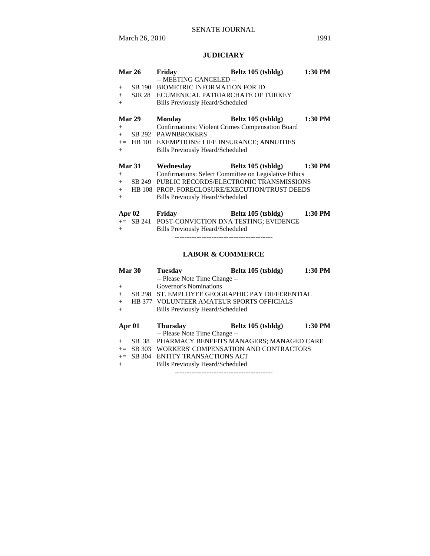# **JUDICIARY**

| <b>Mar 26</b>     | Friday                                                                                                                                               | Beltz 105 (tsbldg)                                    | 1:30 PM |
|-------------------|------------------------------------------------------------------------------------------------------------------------------------------------------|-------------------------------------------------------|---------|
| $+$<br>$+$<br>$+$ | -- MEETING CANCELED --<br>SB 190 BIOMETRIC INFORMATION FOR ID<br>SJR 28 ECUMENICAL PATRIARCHATE OF TURKEY<br><b>Bills Previously Heard/Scheduled</b> |                                                       |         |
| Mar 29            | <b>Monday</b>                                                                                                                                        | Beltz 105 (tsbldg)                                    | 1:30 PM |
| $+$<br>$+$        | <b>Confirmations: Violent Crimes Compensation Board</b><br>SB 292 PAWNBROKERS                                                                        |                                                       |         |
|                   | += HB 101 EXEMPTIONS: LIFE INSURANCE; ANNUITIES                                                                                                      |                                                       |         |
| $+$               | <b>Bills Previously Heard/Scheduled</b>                                                                                                              |                                                       |         |
|                   |                                                                                                                                                      |                                                       |         |
| <b>Mar 31</b>     | Wednesday                                                                                                                                            | Beltz 105 (tsbldg)                                    | 1:30 PM |
| $+$               |                                                                                                                                                      | Confirmations: Select Committee on Legislative Ethics |         |
| $+$               |                                                                                                                                                      | SB 249 PUBLIC RECORDS/ELECTRONIC TRANSMISSIONS        |         |
| $+$<br>$+$        | <b>Bills Previously Heard/Scheduled</b>                                                                                                              | HB 108 PROP. FORECLOSURE/EXECUTION/TRUST DEEDS        |         |
| Apr $02$          | <b>Friday</b>                                                                                                                                        | Beltz 105 (tsbldg)                                    | 1:30 PM |
| $+$               | += SB 241 POST-CONVICTION DNA TESTING; EVIDENCE<br><b>Bills Previously Heard/Scheduled</b>                                                           |                                                       |         |

# **LABOR & COMMERCE**

|        | Mar 30 | <b>Tuesday</b>                            | Beltz 105 (tsbldg)                       | 1:30 PM |  |
|--------|--------|-------------------------------------------|------------------------------------------|---------|--|
|        |        | -- Please Note Time Change --             |                                          |         |  |
| $^{+}$ |        | Governor's Nominations                    |                                          |         |  |
| $+$    | SB 298 | ST. EMPLOYEE GEOGRAPHIC PAY DIFFERENTIAL  |                                          |         |  |
| $+$    |        | HB 377 VOLUNTEER AMATEUR SPORTS OFFICIALS |                                          |         |  |
| $+$    |        | Bills Previously Heard/Scheduled          |                                          |         |  |
|        |        |                                           |                                          |         |  |
|        |        |                                           |                                          |         |  |
| Apr 01 |        | <b>Thursday</b>                           | Beltz 105 (tsbldg)                       | 1:30 PM |  |
|        |        | -- Please Note Time Change --             |                                          |         |  |
| $^{+}$ | SB 38  |                                           | PHARMACY BENEFITS MANAGERS; MANAGED CARE |         |  |
| $+=$   | SB 303 |                                           | WORKERS' COMPENSATION AND CONTRACTORS    |         |  |
|        |        | $\pm$ SB 304 ENTITY TRANSACTIONS ACT      |                                          |         |  |
| $+$    |        | Bills Previously Heard/Scheduled          |                                          |         |  |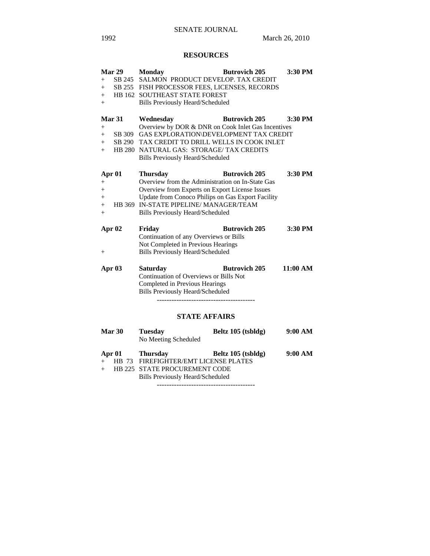# SENATE JOURNAL

# **RESOURCES**

|        | Mar 29        | <b>Monday</b>                                      | <b>Butrovich 205</b>                                                                    | 3:30 PM  |  |
|--------|---------------|----------------------------------------------------|-----------------------------------------------------------------------------------------|----------|--|
| $+$    | SB 245        | SALMON PRODUCT DEVELOP. TAX CREDIT                 |                                                                                         |          |  |
| $+$    |               | SB 255 FISH PROCESSOR FEES, LICENSES, RECORDS      |                                                                                         |          |  |
| $+$    |               |                                                    | HB 162 SOUTHEAST STATE FOREST                                                           |          |  |
| $^{+}$ |               | <b>Bills Previously Heard/Scheduled</b>            |                                                                                         |          |  |
|        | <b>Mar 31</b> | Wednesday                                          | <b>Butrovich 205</b>                                                                    | 3:30 PM  |  |
| $+$    |               | Overview by DOR & DNR on Cook Inlet Gas Incentives |                                                                                         |          |  |
| $+$    | SB 309        | GAS EXPLORATION\DEVELOPMENT TAX CREDIT             |                                                                                         |          |  |
| $+$    |               | SB 290 TAX CREDIT TO DRILL WELLS IN COOK INLET     |                                                                                         |          |  |
| $+$    |               | HB 280 NATURAL GAS: STORAGE/ TAX CREDITS           |                                                                                         |          |  |
|        |               | <b>Bills Previously Heard/Scheduled</b>            |                                                                                         |          |  |
|        | Apr 01        | <b>Thursday</b>                                    | <b>Butrovich 205</b>                                                                    | 3:30 PM  |  |
| $+$    |               | Overview from the Administration on In-State Gas   |                                                                                         |          |  |
| $+$    |               | Overview from Experts on Export License Issues     |                                                                                         |          |  |
| $+$    |               | Update from Conoco Philips on Gas Export Facility  |                                                                                         |          |  |
| $+$    |               | HB 369 IN-STATE PIPELINE/MANAGER/TEAM              |                                                                                         |          |  |
| $+$    |               | <b>Bills Previously Heard/Scheduled</b>            |                                                                                         |          |  |
|        | Apr 02        | Friday                                             | <b>Butrovich 205</b>                                                                    | 3:30 PM  |  |
|        |               | Continuation of any Overviews or Bills             |                                                                                         |          |  |
|        |               | Not Completed in Previous Hearings                 |                                                                                         |          |  |
| $^{+}$ |               | <b>Bills Previously Heard/Scheduled</b>            |                                                                                         |          |  |
|        | Apr 03        | <b>Saturday</b>                                    | <b>Butrovich 205</b>                                                                    | 11:00 AM |  |
|        |               | Continuation of Overviews or Bills Not             |                                                                                         |          |  |
|        |               | Completed in Previous Hearings                     |                                                                                         |          |  |
|        |               | <b>Bills Previously Heard/Scheduled</b>            |                                                                                         |          |  |
|        |               |                                                    |                                                                                         |          |  |
|        |               | <b>STATE AFFAIRS</b>                               |                                                                                         |          |  |
|        | Mar 30        | <b>Tuesday</b>                                     | Beltz 105 (tsbldg)                                                                      | 9:00 AM  |  |
|        |               | No Meeting Scheduled                               |                                                                                         |          |  |
|        | $\sim$ 0.4    | $\mathbf{m}$ $\mathbf{r}$                          | $\mathbf{D}$ 1. $\mathbf{A}$ $\mathbf{A}$ $\mathbf{B}$ $\mathbf{A}$ 1.1.1. $\mathbf{A}$ | 0.0011   |  |

|  | Apr 01 Thursday                         | Beltz 105 (tsbldg) | 9:00 AM |
|--|-----------------------------------------|--------------------|---------|
|  | + HB 73 FIREFIGHTER/EMT LICENSE PLATES  |                    |         |
|  | HB 225 STATE PROCUREMENT CODE           |                    |         |
|  | <b>Bills Previously Heard/Scheduled</b> |                    |         |
|  |                                         |                    |         |